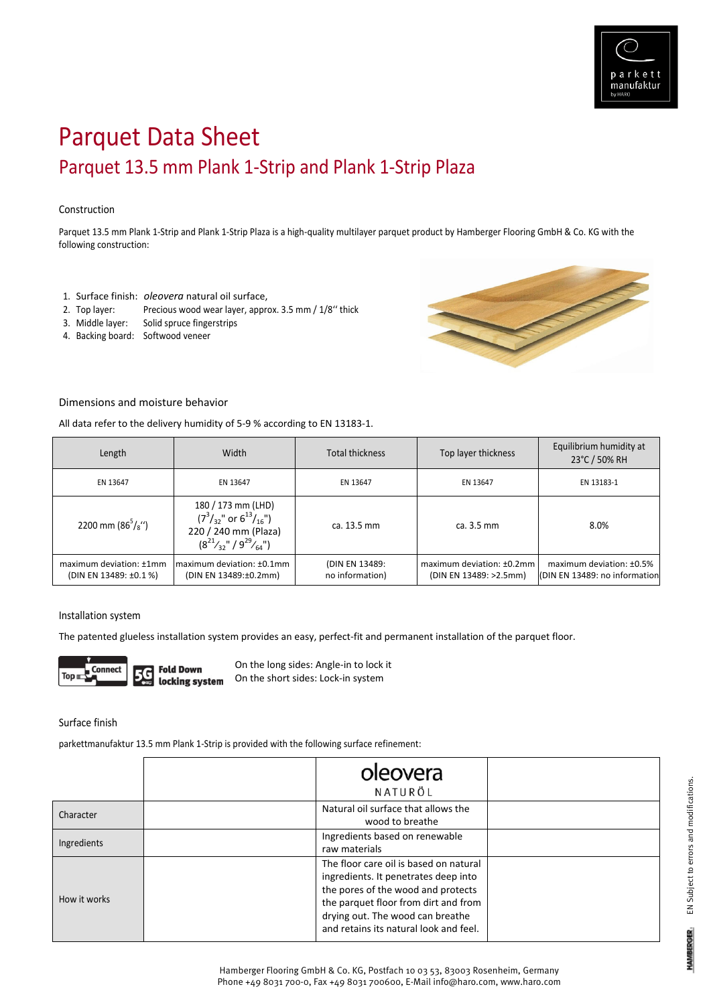

# Parquet Data Sheet Parquet 13.5 mm Plank 1‐Strip and Plank 1‐Strip Plaza

## Construction

Parquet 13.5 mm Plank 1‐Strip and Plank 1‐Strip Plaza is a high‐quality multilayer parquet product by Hamberger Flooring GmbH & Co. KG with the following construction:

- 1. Surface finish: *oleovera* natural oil surface,
- 2. Top layer: Precious wood wear layer, approx. 3.5 mm / 1/8'' thick
- 3. Middle layer: Solid spruce fingerstrips
- 4. Backing board: Softwood veneer



### Dimensions and moisture behavior

All data refer to the delivery humidity of 5‐9 % according to EN 13183‐1.

| Length                                            | Width                                                                                                                      | <b>Total thickness</b>            | Top layer thickness                                 | Equilibrium humidity at<br>23°C / 50% RH                  |
|---------------------------------------------------|----------------------------------------------------------------------------------------------------------------------------|-----------------------------------|-----------------------------------------------------|-----------------------------------------------------------|
| EN 13647                                          | EN 13647                                                                                                                   | EN 13647                          | EN 13647                                            | EN 13183-1                                                |
| 2200 mm ( $86^{5}/s$ ")                           | 180 / 173 mm (LHD)<br>$(7^3/_{32}$ " or $6^{13}/_{16}$ ")<br>220 / 240 mm (Plaza)<br>$(8^{21}/_{32}$ " / $9^{29}/_{64}$ ") | ca. 13.5 mm                       | ca. 3.5 mm                                          | 8.0%                                                      |
| maximum deviation: ±1mm<br>(DIN EN 13489: ±0.1 %) | Imaximum deviation: ±0.1mm<br>(DIN EN 13489:±0.2mm)                                                                        | (DIN EN 13489:<br>no information) | maximum deviation: ±0.2mm<br>(DIN EN 13489: >2.5mm) | maximum deviation: ±0.5%<br>(DIN EN 13489: no information |

#### Installation system

The patented glueless installation system provides an easy, perfect-fit and permanent installation of the parquet floor.



On the long sides: Angle‐in to lock it On the short sides: Lock‐in system locking system

Surface finish

parkettmanufaktur 13.5 mm Plank 1‐Strip is provided with the following surface refinement:

|              | oleovera<br>NATURÖL                                                                                                                                                                                                                        |  |
|--------------|--------------------------------------------------------------------------------------------------------------------------------------------------------------------------------------------------------------------------------------------|--|
| Character    | Natural oil surface that allows the<br>wood to breathe                                                                                                                                                                                     |  |
| Ingredients  | Ingredients based on renewable<br>raw materials                                                                                                                                                                                            |  |
| How it works | The floor care oil is based on natural<br>ingredients. It penetrates deep into<br>the pores of the wood and protects<br>the parquet floor from dirt and from<br>drying out. The wood can breathe<br>and retains its natural look and feel. |  |